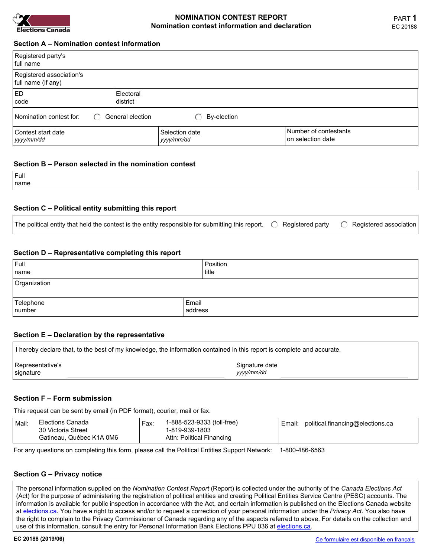

## **NOMINATION CONTEST REPORT Nomination contest information and declaration**

| Registered party's<br>l full name∶             |                       |                              |                                            |
|------------------------------------------------|-----------------------|------------------------------|--------------------------------------------|
| Registered association's<br>full name (if any) |                       |                              |                                            |
| I ED<br>l code                                 | Electoral<br>district |                              |                                            |
| Nomination contest for:<br>◯                   | General election      | By-election                  |                                            |
| Contest start date<br>yyyy/mm/dd               |                       | Selection date<br>yyyy/mm/dd | Number of contestants<br>on selection date |

## **Section B – Person selected in the nomination contest**

| Full  |  |
|-------|--|
| ˈname |  |
|       |  |

### **Section C – Political entity submitting this report**

| The political entity that held the contest is the entity responsible for submitting this report. $\bigcirc$ Registered party $\bigcirc$ Registered association |  |  |  |  |
|----------------------------------------------------------------------------------------------------------------------------------------------------------------|--|--|--|--|
|----------------------------------------------------------------------------------------------------------------------------------------------------------------|--|--|--|--|

### **Section D – Representative completing this report**

| $ $ Full<br>name    |                  | Position<br>  title |
|---------------------|------------------|---------------------|
| Organization        |                  |                     |
| Telephone<br>number | Email<br>address |                     |

#### **Section E – Declaration by the representative**

| I hereby declare that, to the best of my knowledge, the information contained in this report is complete and accurate. |                |  |  |  |
|------------------------------------------------------------------------------------------------------------------------|----------------|--|--|--|
| Representative's                                                                                                       | Signature date |  |  |  |
| ∣signature                                                                                                             | vyyy/mm/dd     |  |  |  |

### **Section F – Form submission**

This request can be sent by email (in PDF format), courier, mail or fax.

| Elections Canada<br>Mail:<br>30 Victoria Street<br>Gatineau, Québec K1A 0M6 | Fax: | 1-888-523-9333 (toll-free)<br>1-819-939-1803<br>Attn: Political Financing | Email: | political.financing@elections.ca |
|-----------------------------------------------------------------------------|------|---------------------------------------------------------------------------|--------|----------------------------------|
|-----------------------------------------------------------------------------|------|---------------------------------------------------------------------------|--------|----------------------------------|

For any questions on completing this form, please call the Political Entities Support Network: 1-800-486-6563

# **Section G – Privacy notice**

The personal information supplied on the *Nomination Contest Report* (Report) is collected under the authority of the *Canada Elections Act* (Act) for the purpose of administering the registration of political entities and creating Political Entities Service Centre (PESC) accounts. The information is available for public inspection in accordance with the Act, and certain information is published on the Elections Canada website at [elections.ca.](https://www.elections.ca/) You have a right to access and/or to request a correction of your personal information under the *Privacy Act*. You also have the right to complain to the Privacy Commissioner of Canada regarding any of the aspects referred to above. For details on the collection and use of this information, consult the entry for Personal Information Bank Elections PPU 036 at [elections.ca](https://www.elections.ca/content.aspx?section=abo&dir=atip/info&document=p8&lang=e#Political_Entities_(PIB)).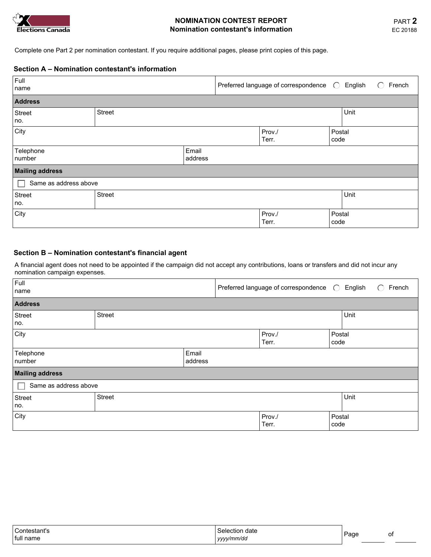

# **NOMINATION CONTEST REPORT Nomination contestant's information**

Complete one Part 2 per nomination contestant. If you require additional pages, please print copies of this page.

## **Section A – Nomination contestant's information**

| Full<br>name           |        |                  | Preferred language of correspondence $\bigcirc$ |                | English | $\left( \quad \right)$ | French |
|------------------------|--------|------------------|-------------------------------------------------|----------------|---------|------------------------|--------|
| <b>Address</b>         |        |                  |                                                 |                |         |                        |        |
| Street<br>no.          | Street |                  |                                                 |                | Unit    |                        |        |
| $ $ City               |        |                  | Prov./<br>Terr.                                 | Postal<br>code |         |                        |        |
| Telephone<br>number    |        | Email<br>address |                                                 |                |         |                        |        |
| <b>Mailing address</b> |        |                  |                                                 |                |         |                        |        |
| Same as address above  |        |                  |                                                 |                |         |                        |        |
| <b>Street</b><br>  no. | Street |                  |                                                 |                | Unit    |                        |        |
| City                   |        |                  | Prov./<br>Terr.                                 | Postal<br>code |         |                        |        |

# **Section B – Nomination contestant's financial agent**

A financial agent does not need to be appointed if the campaign did not accept any contributions, loans or transfers and did not incur any nomination campaign expenses.

| Full<br>name           |               |                  | Preferred language of correspondence (C) |                          | English        | French<br>$\left( \quad \right)$ |
|------------------------|---------------|------------------|------------------------------------------|--------------------------|----------------|----------------------------------|
| <b>Address</b>         |               |                  |                                          |                          |                |                                  |
| Street                 | <b>Street</b> |                  |                                          |                          | Unit           |                                  |
| no.                    |               |                  |                                          |                          |                |                                  |
| City                   |               |                  | Prov./<br>Terr.                          | $\overline{\phantom{0}}$ | Postal<br>code |                                  |
| Telephone<br>number    |               | Email<br>address |                                          |                          |                |                                  |
| <b>Mailing address</b> |               |                  |                                          |                          |                |                                  |
| Same as address above  |               |                  |                                          |                          |                |                                  |
| <b>Street</b>          | Street        |                  |                                          |                          | Unit           |                                  |
| no.                    |               |                  |                                          |                          |                |                                  |
| City                   |               |                  | Prov./<br>Terr.                          |                          | Postal<br>code |                                  |

| Contestant's           | Selection date | Page |    |
|------------------------|----------------|------|----|
| <sup>1</sup> full name | vvvv/mm/dd     |      | Οţ |